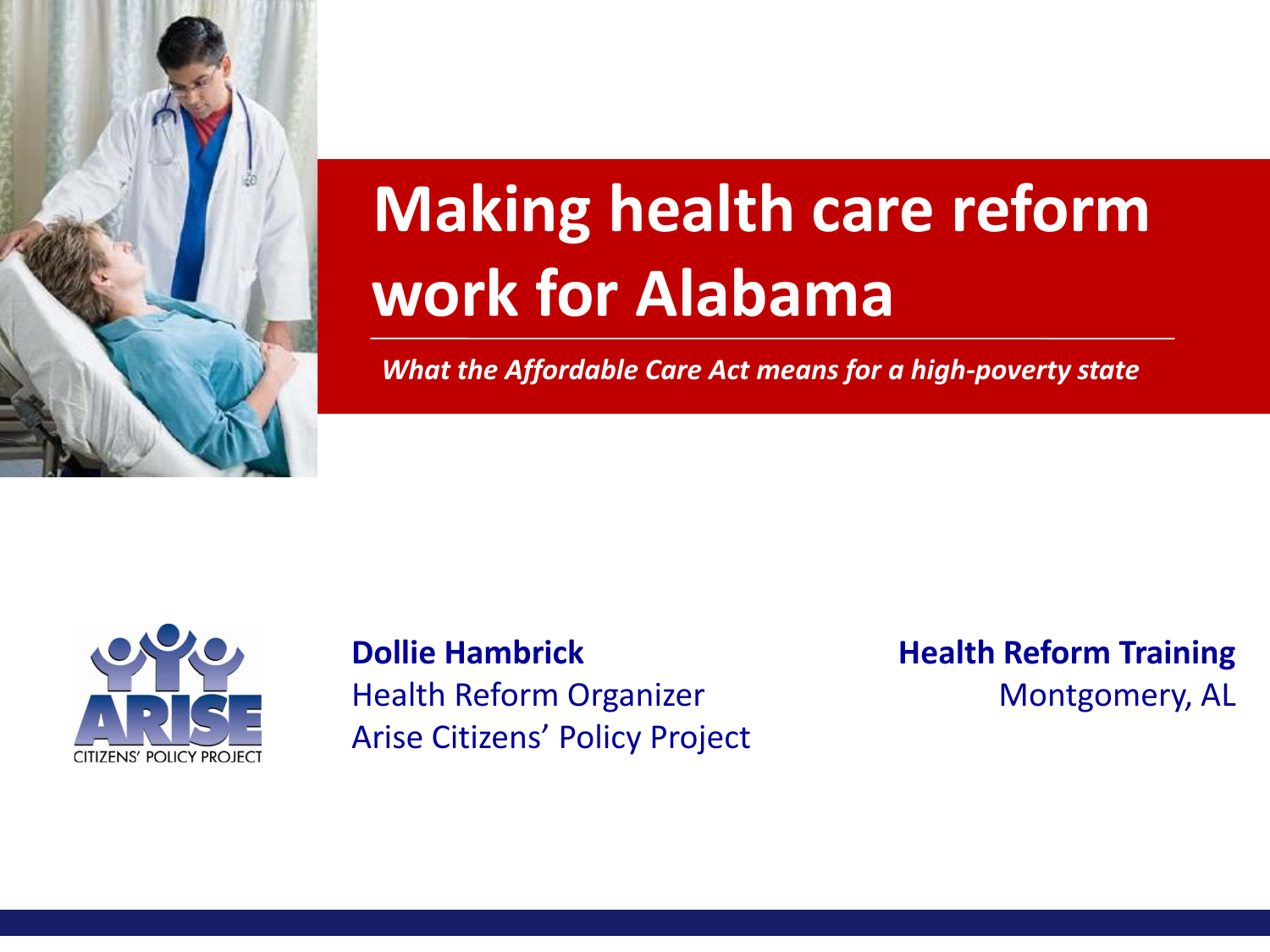

# **Making health care reform work for Alabama**

*What the Affordable Care Act means for a high-poverty state*



**Dollie Hambrick** Health Reform Organizer Arise Citizens' Policy Project **Health Reform Training** Montgomery, AL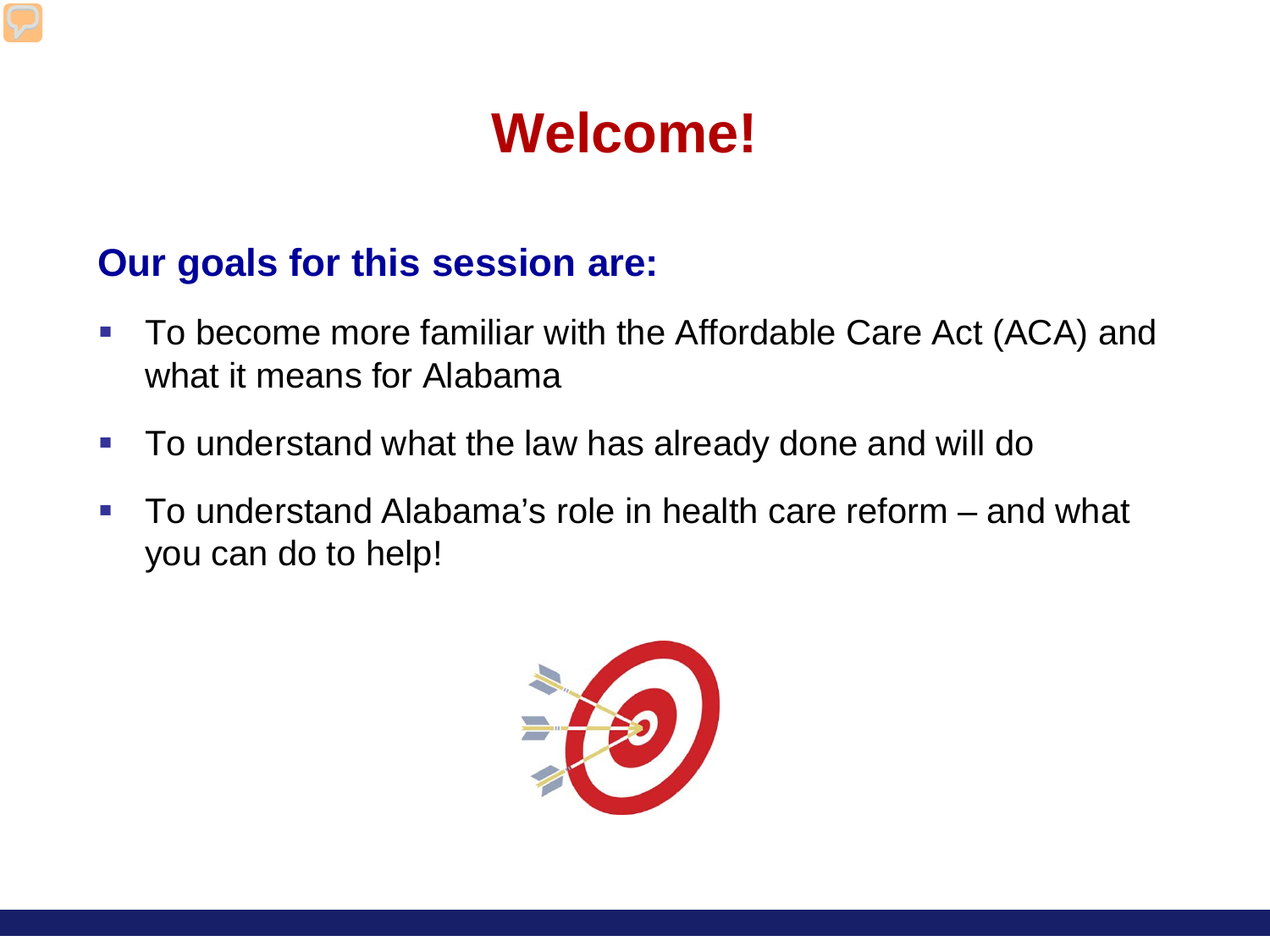## **Welcome!**

#### **Our goals for this session are:**

- To become more familiar with the Affordable Care Act (ACA) and what it means for Alabama
- **To understand what the law has already done and will do**
- To understand Alabama's role in health care reform and what you can do to help!

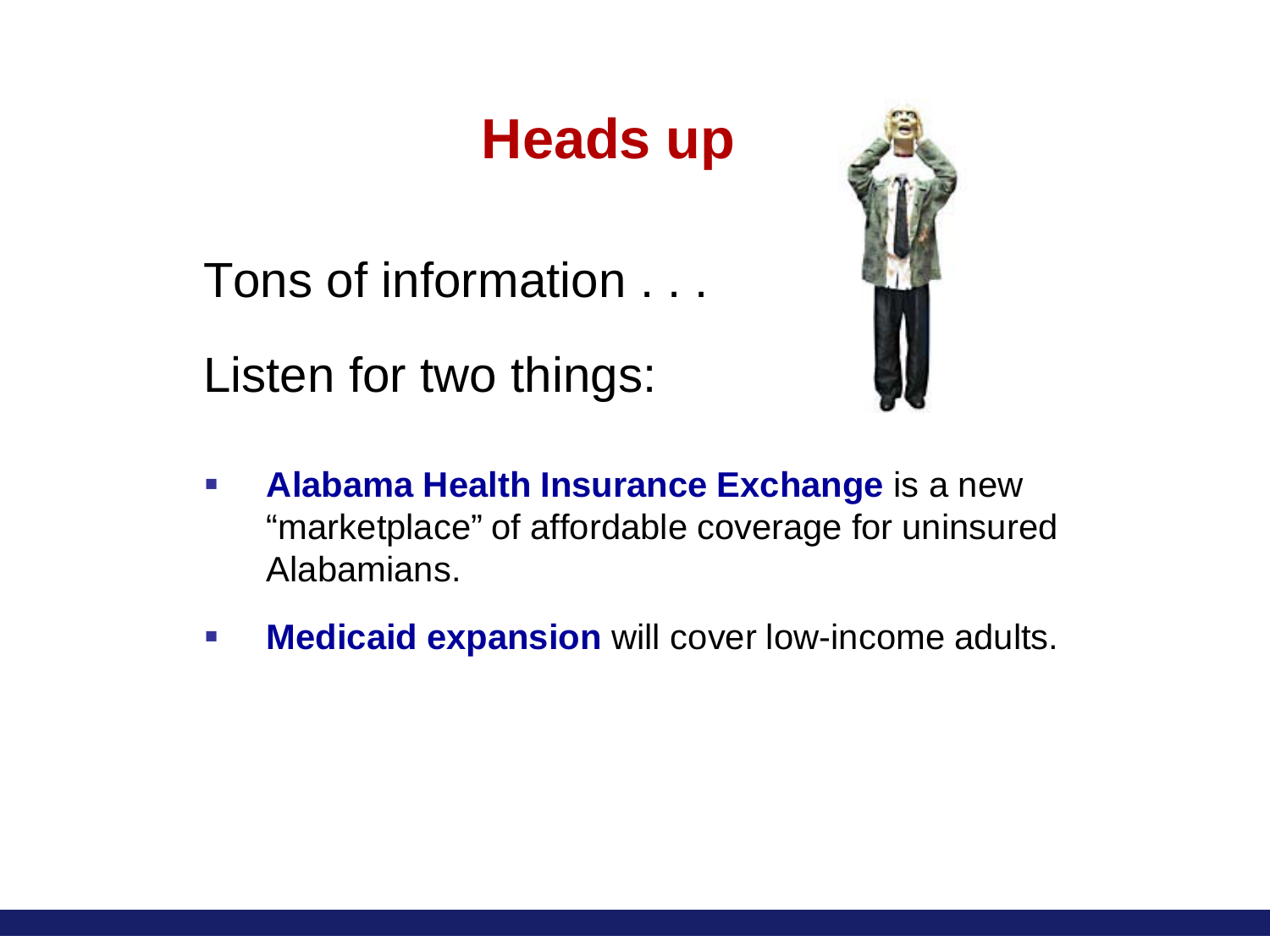## **Heads up**

Tons of information . . .

Listen for two things:



- **Alabama Health Insurance Exchange** is a new "marketplace" of affordable coverage for uninsured Alabamians.
- **Medicaid expansion** will cover low-income adults.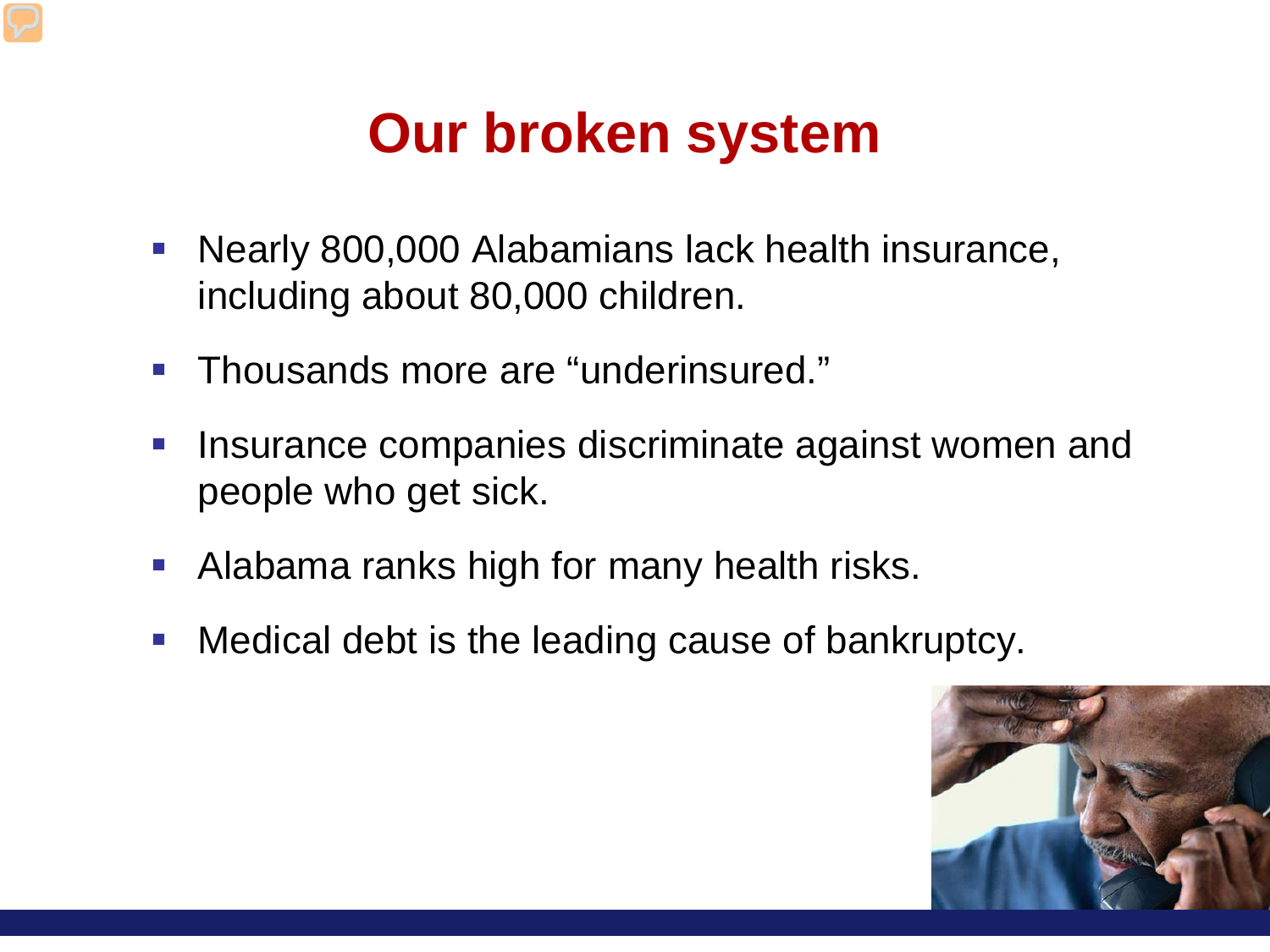### **Our broken system**

- **Nearly 800,000 Alabamians lack health insurance,** including about 80,000 children.
- Thousands more are "underinsured."
- Insurance companies discriminate against women and people who get sick.
- **Alabama ranks high for many health risks.**
- Medical debt is the leading cause of bankruptcy.

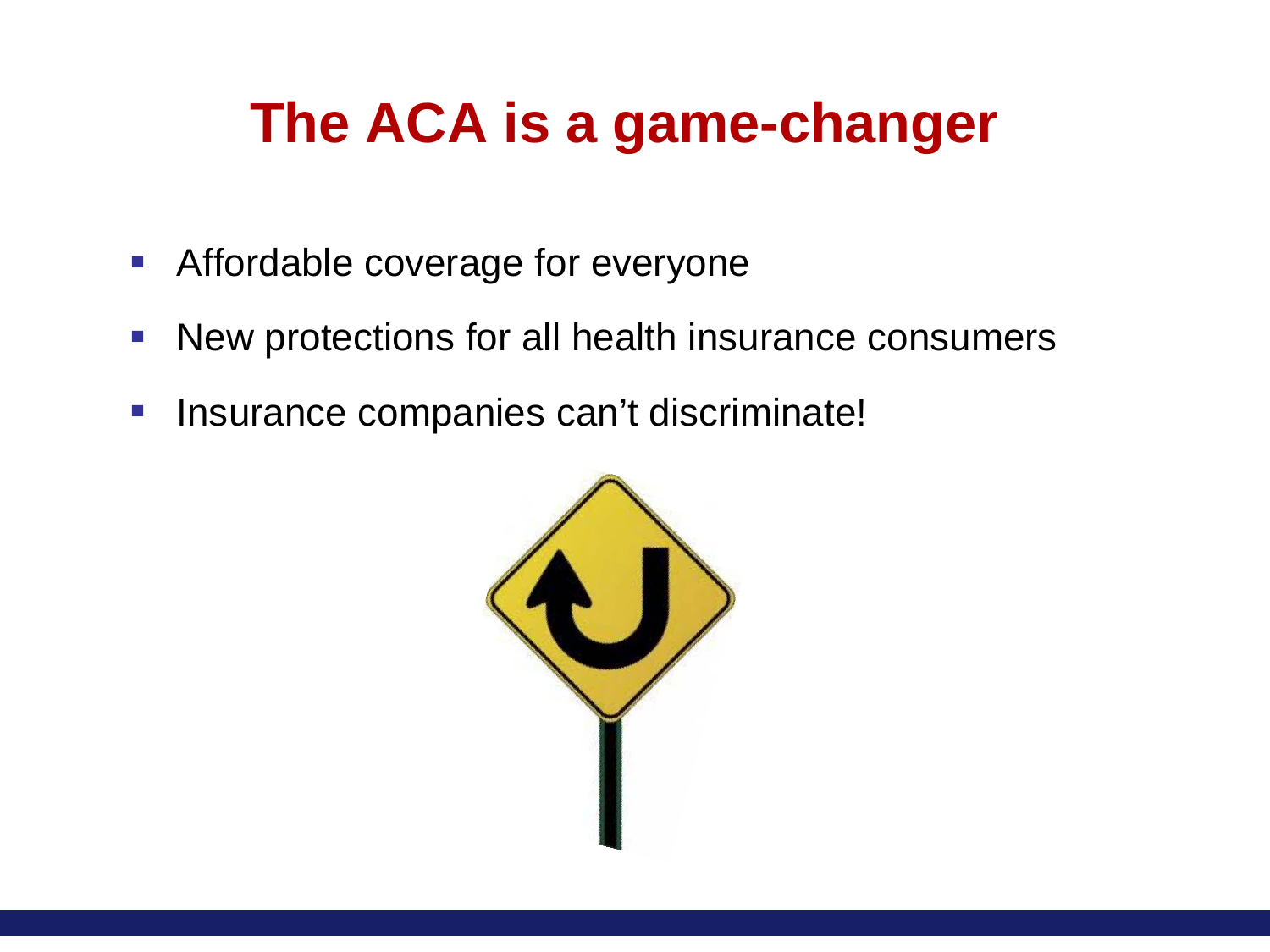### **The ACA is a game-changer**

- **Affordable coverage for everyone**
- **New protections for all health insurance consumers**
- **Insurance companies can't discriminate!**

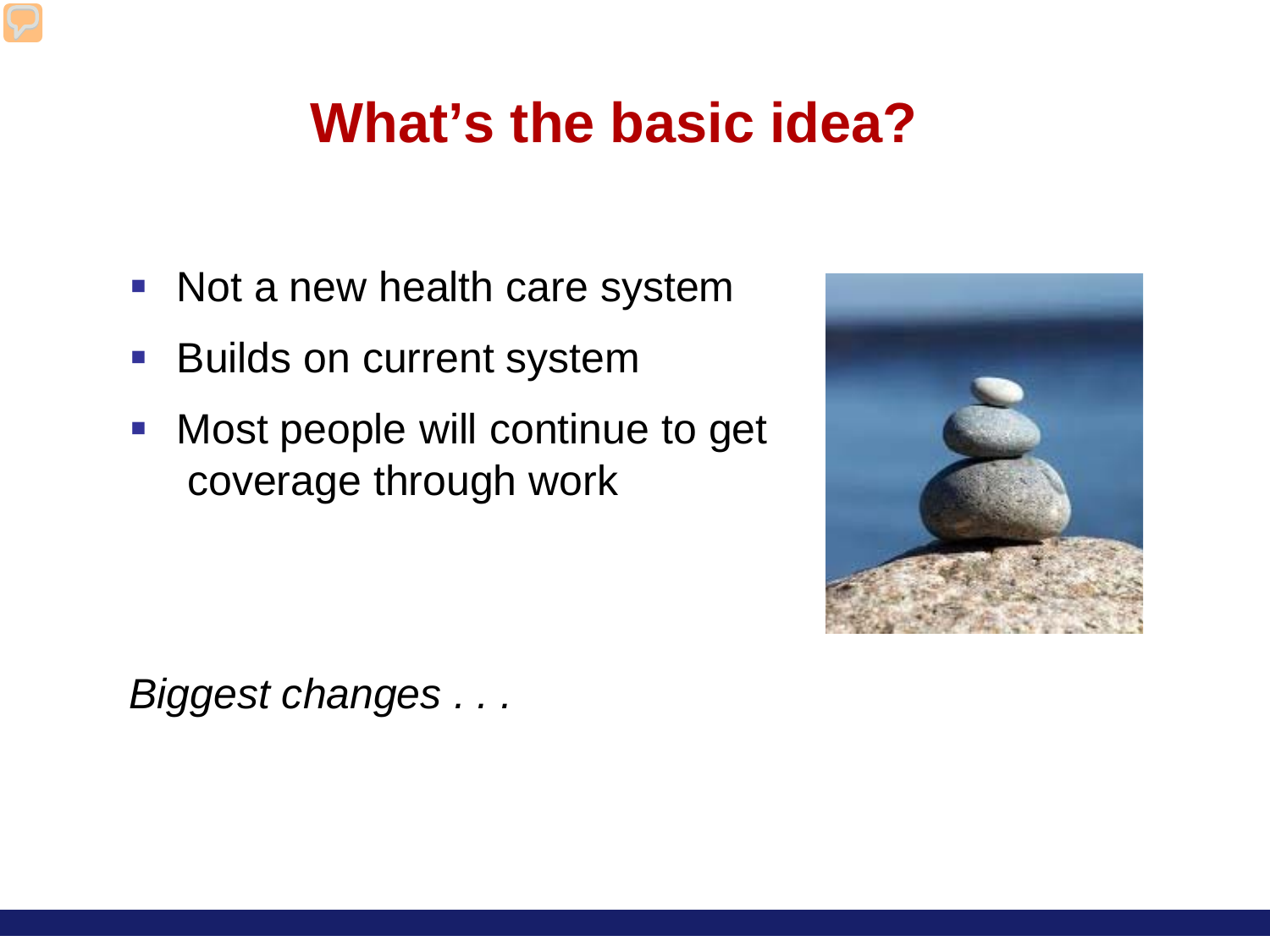### **What's the basic idea?**

- Not a new health care system
- **Builds on current system**
- **Most people will continue to get** coverage through work



*Biggest changes . . .*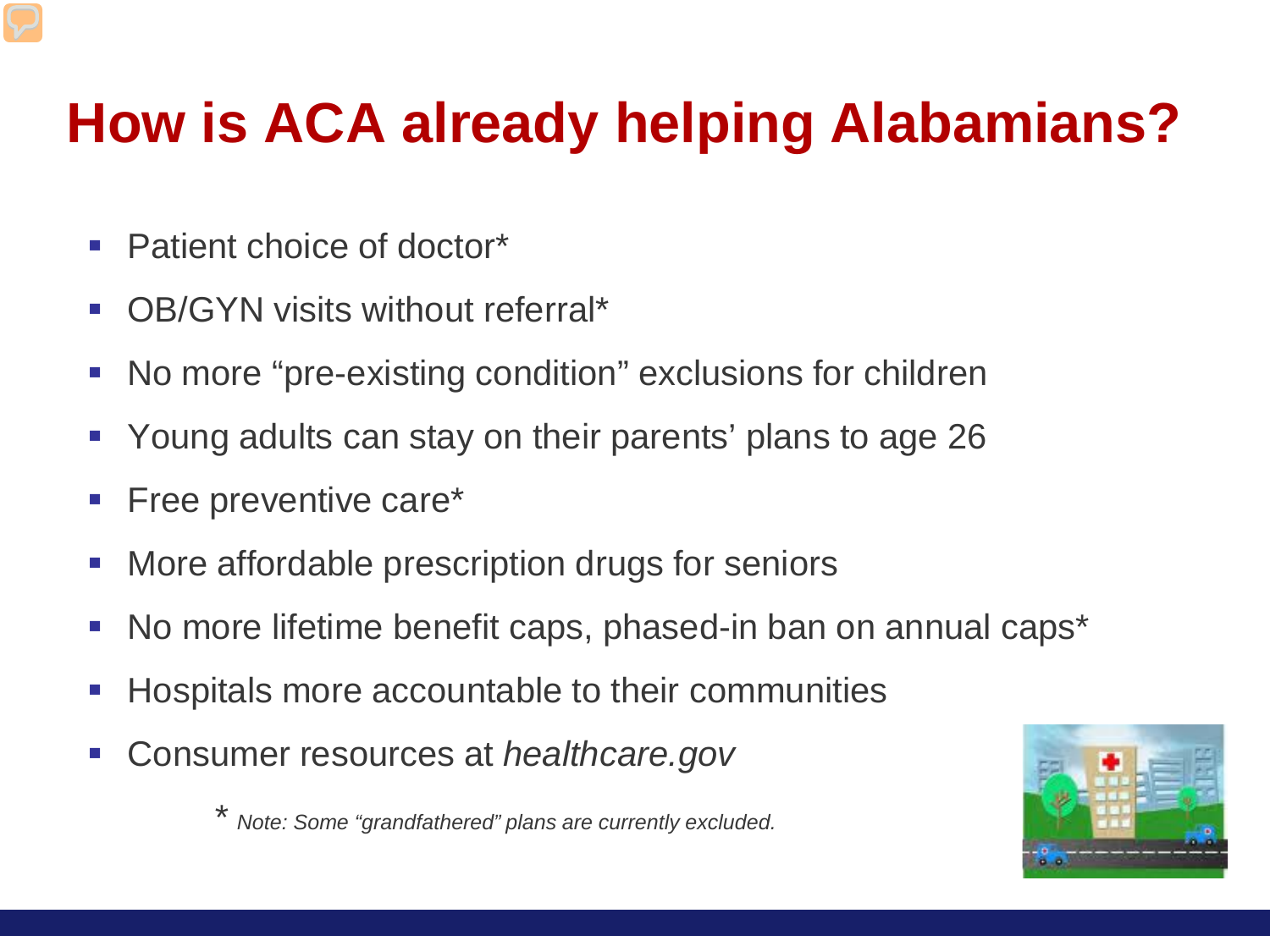## **How is ACA already helping Alabamians?**

- Patient choice of doctor\*
- OB/GYN visits without referral<sup>\*</sup>
- No more "pre-existing condition" exclusions for children
- Young adults can stay on their parents' plans to age 26
- **Free preventive care\***
- **More affordable prescription drugs for seniors**
- No more lifetime benefit caps, phased-in ban on annual caps\*
- Hospitals more accountable to their communities
- Consumer resources at *healthcare.gov*

*\* Note: Some "grandfathered" plans are currently excluded.*

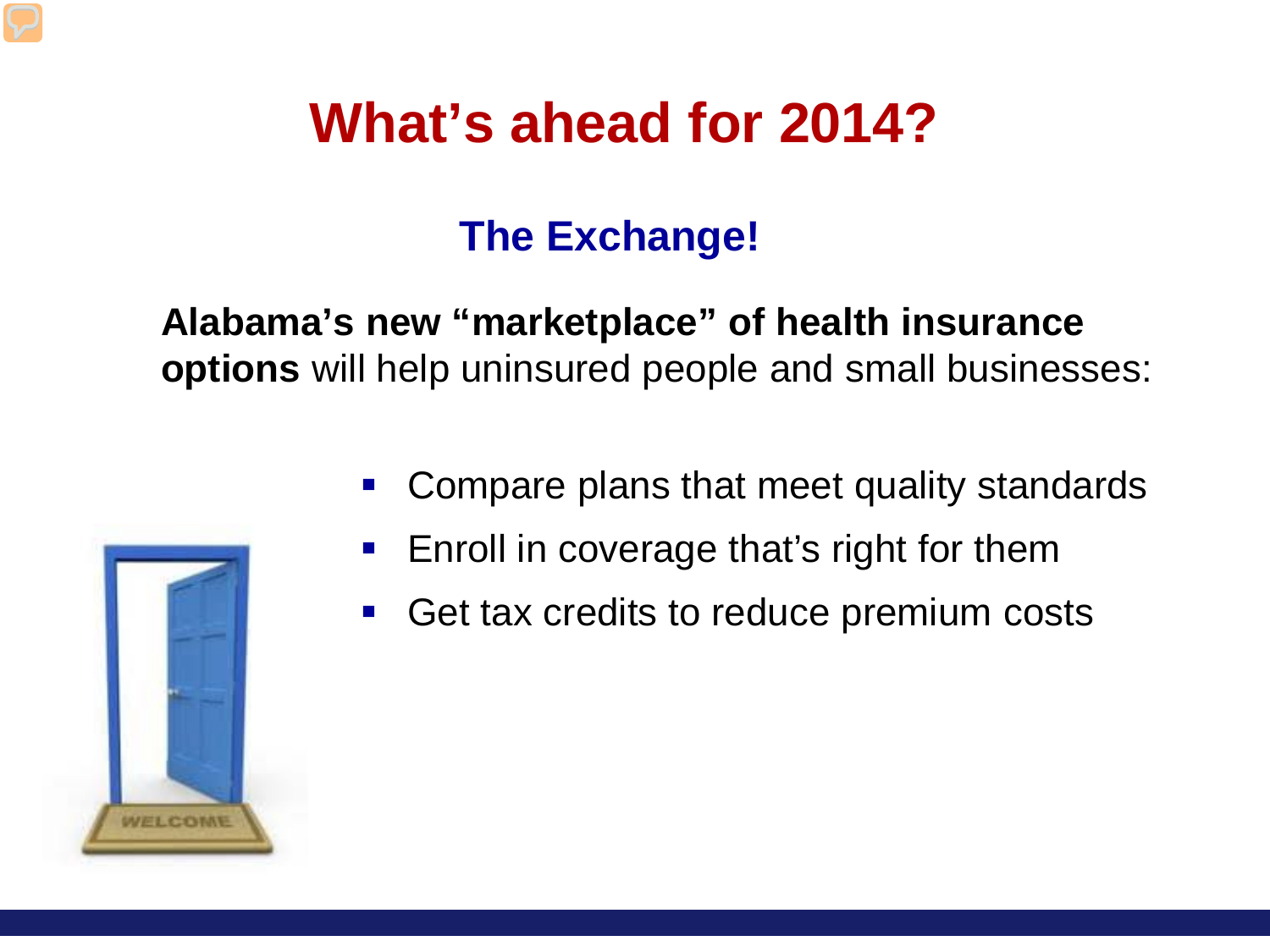### **What's ahead for 2014?**

### **The Exchange!**

#### **Alabama's new "marketplace" of health insurance options** will help uninsured people and small businesses:



- **Enroll in coverage that's right for them**
- Get tax credits to reduce premium costs

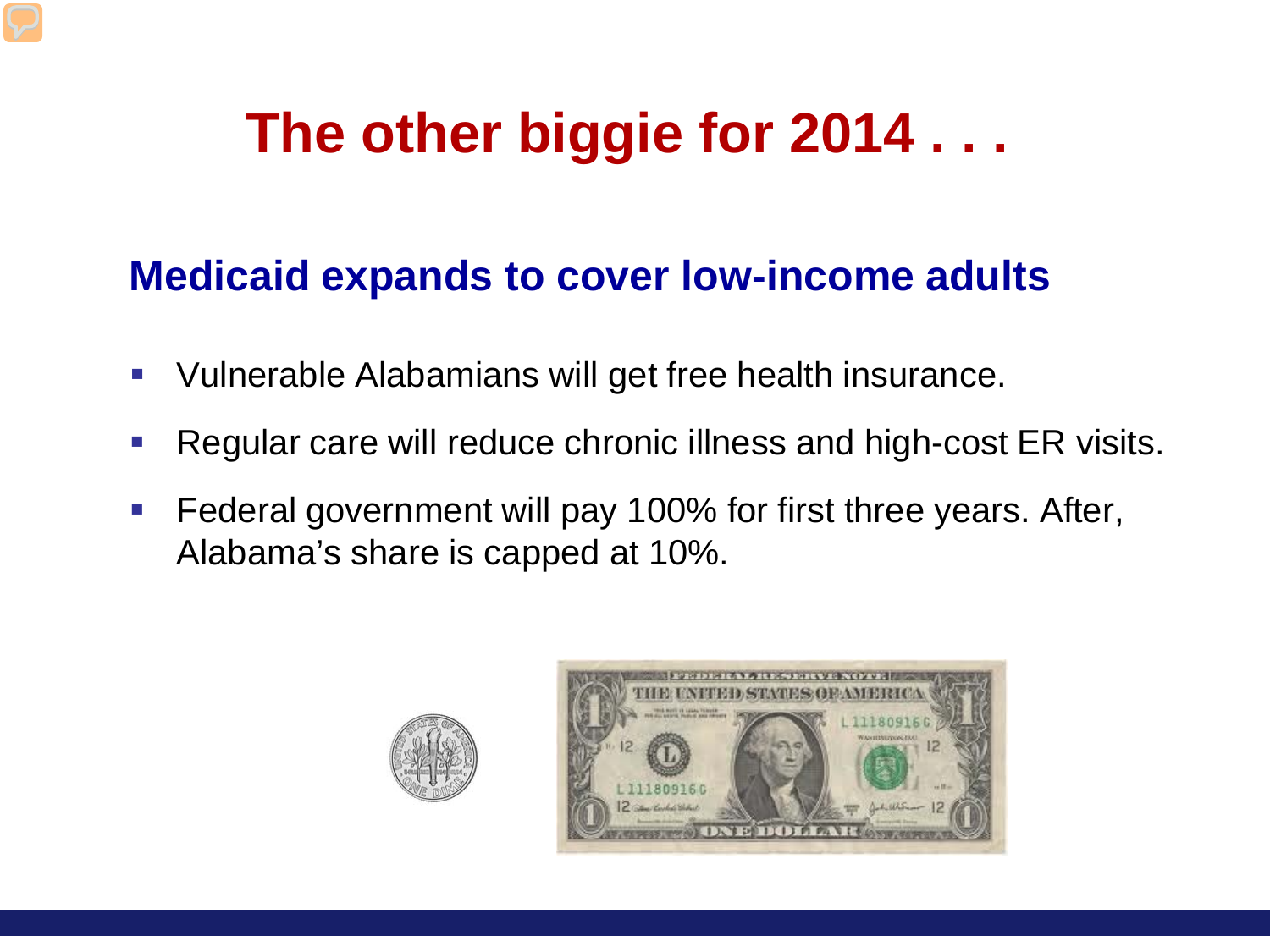## **The other biggie for 2014 . . .**

#### **Medicaid expands to cover low-income adults**

- Vulnerable Alabamians will get free health insurance.
- Regular care will reduce chronic illness and high-cost ER visits.
- **Federal government will pay 100% for first three years. After,** Alabama's share is capped at 10%.



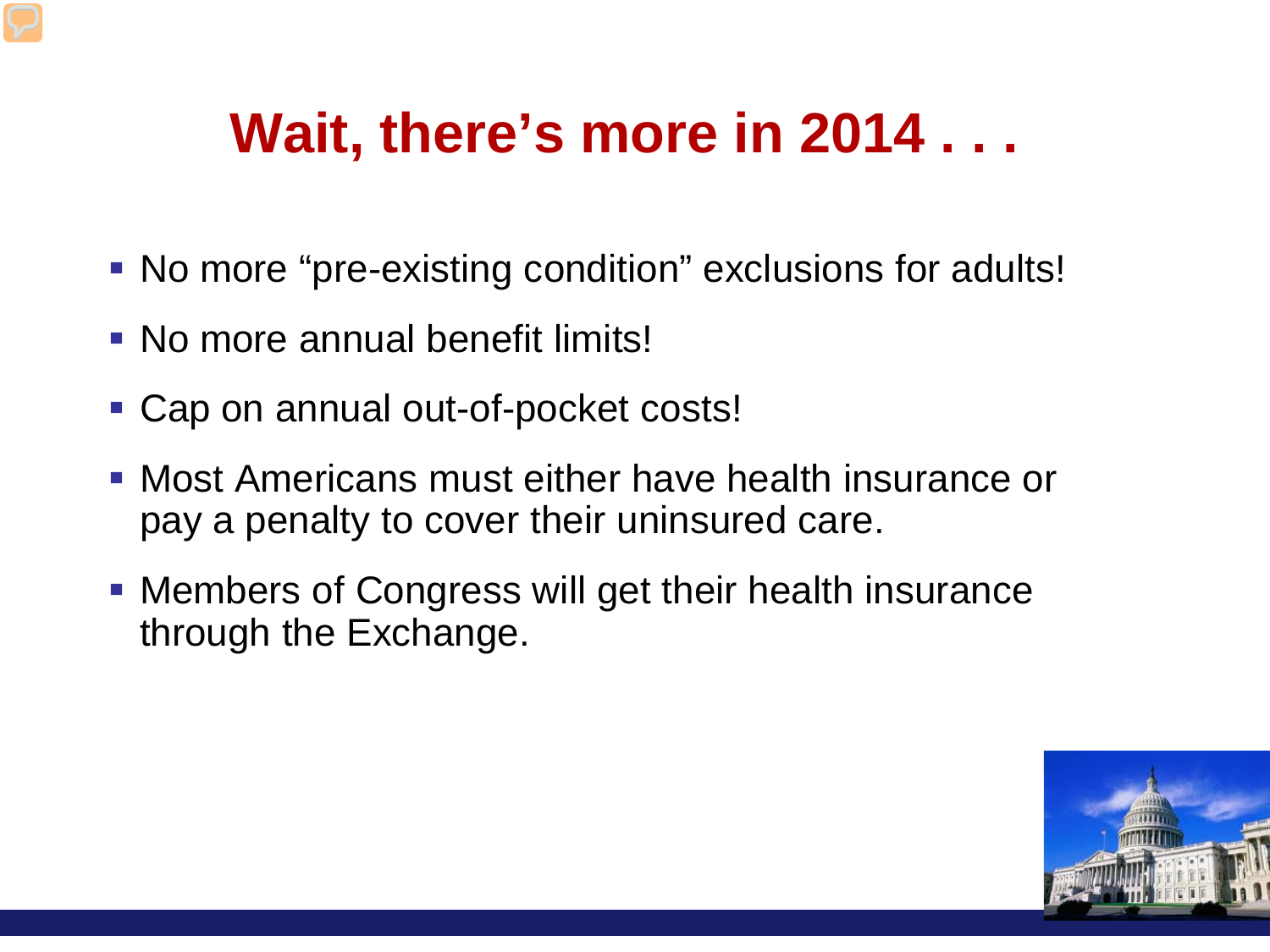## **Wait, there's more in 2014 . . .**

- No more "pre-existing condition" exclusions for adults!
- No more annual benefit limits!
- Cap on annual out-of-pocket costs!
- Most Americans must either have health insurance or pay a penalty to cover their uninsured care.
- Members of Congress will get their health insurance through the Exchange.

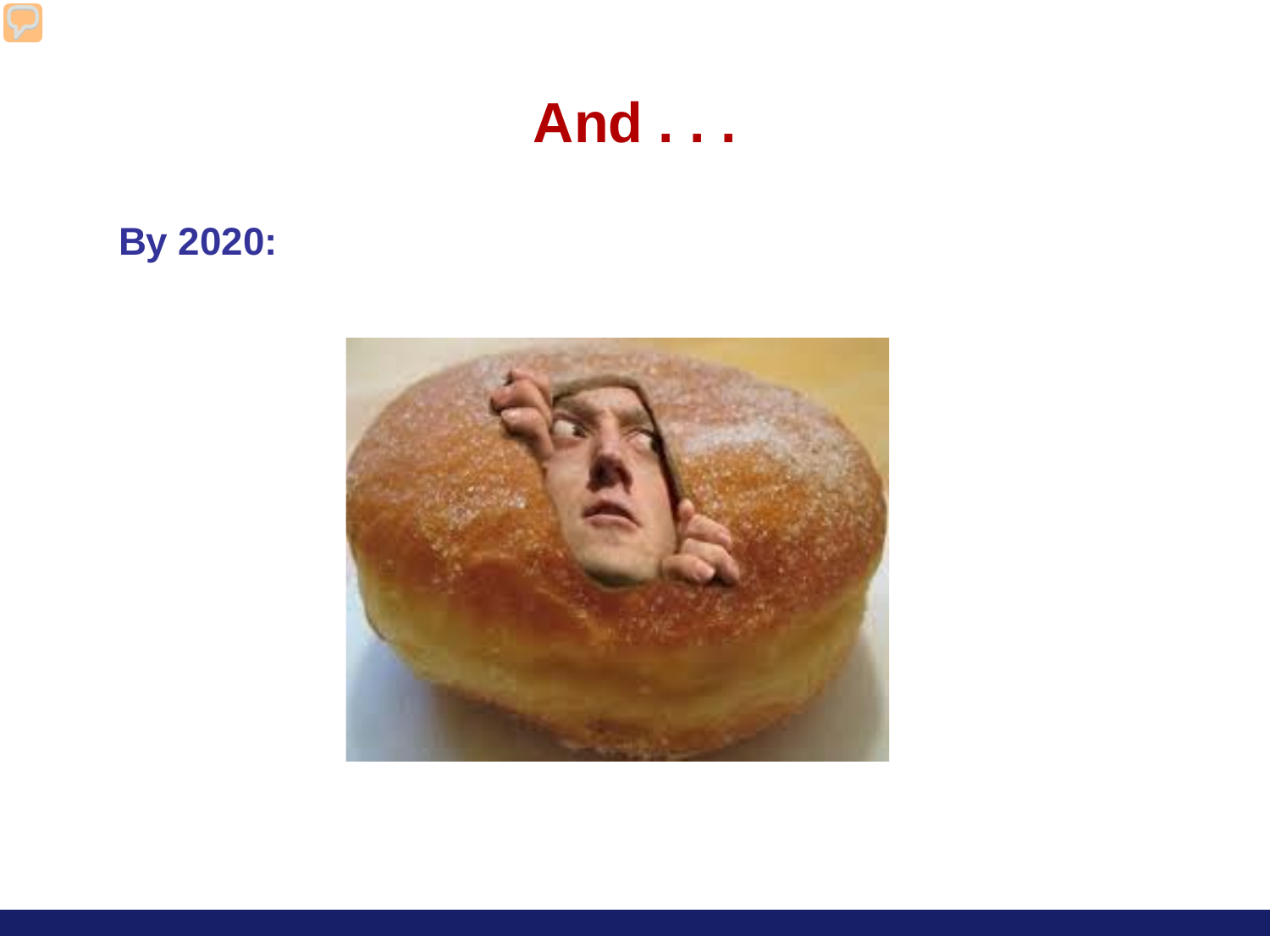

### **By 2020:**

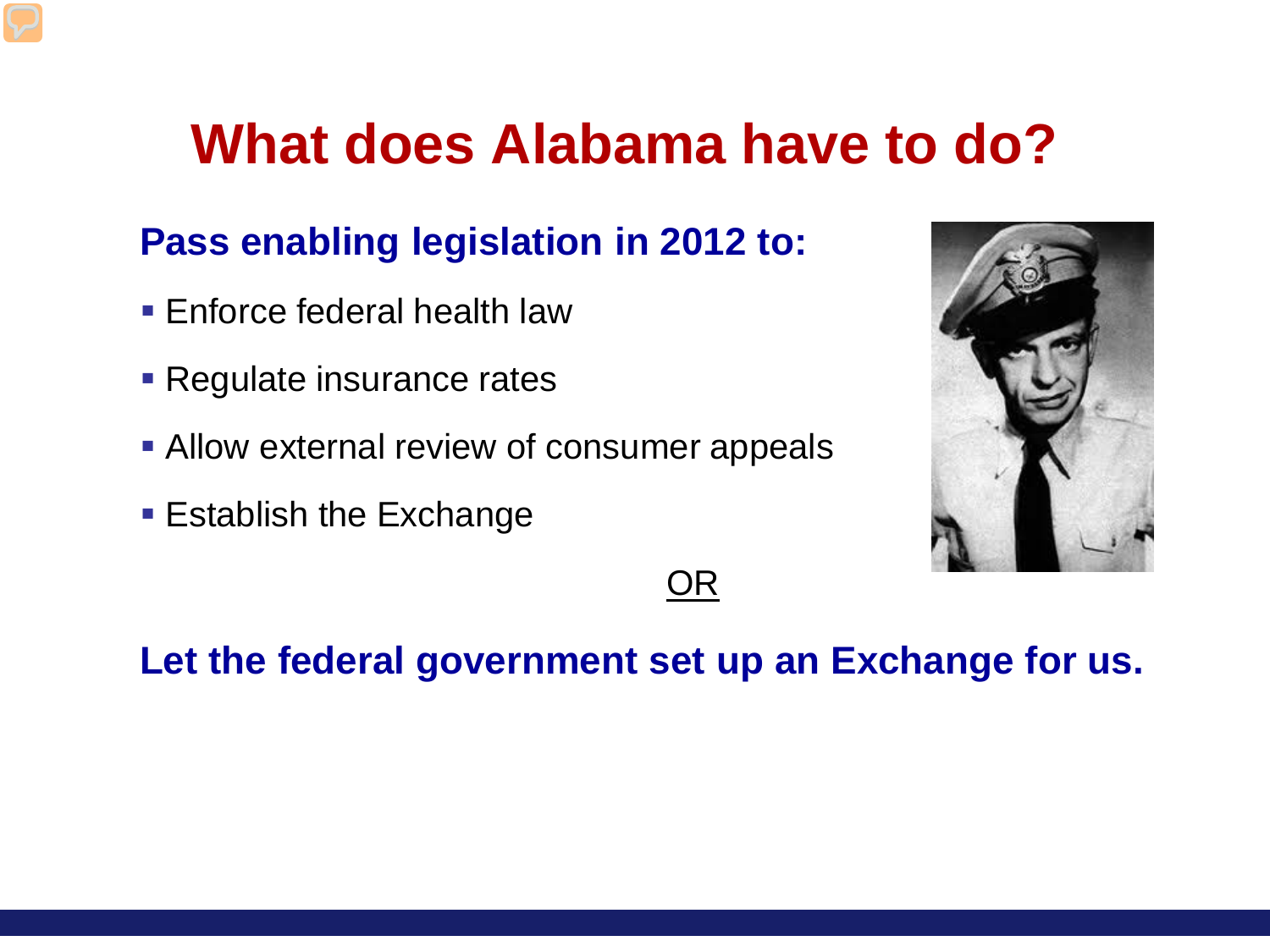### **What does Alabama have to do?**

#### **Pass enabling legislation in 2012 to:**

- **Enforce federal health law**
- **Regulate insurance rates**
- **Allow external review of consumer appeals**
- **Establish the Exchange**



OR

#### **Let the federal government set up an Exchange for us.**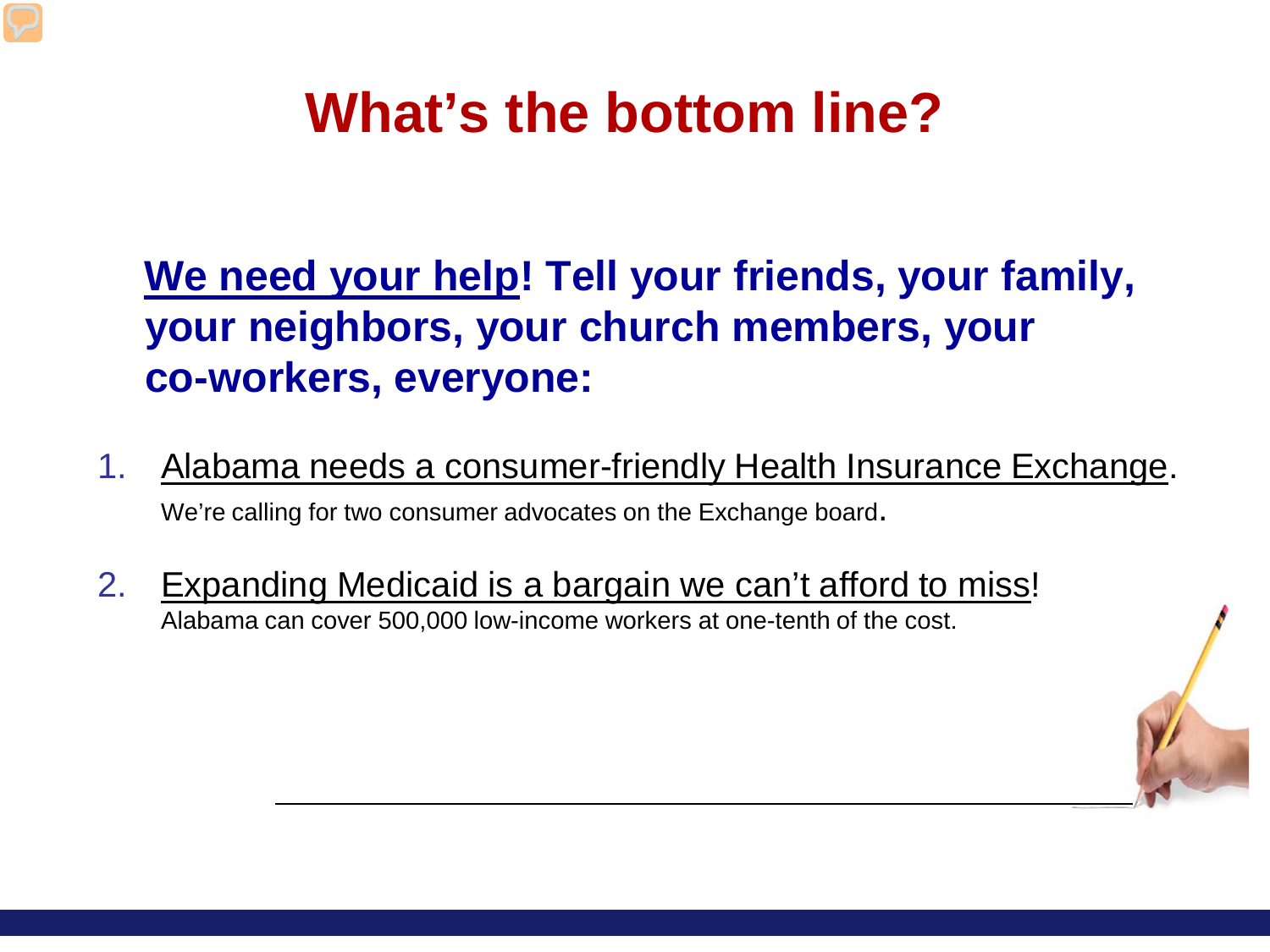### **What's the bottom line?**

### **We need your help! Tell your friends, your family, your neighbors, your church members, your co-workers, everyone:**

- 1. Alabama needs a consumer-friendly Health Insurance Exchange. We're calling for two consumer advocates on the Exchange board.
- 2. Expanding Medicaid is a bargain we can't afford to miss! Alabama can cover 500,000 low-income workers at one-tenth of the cost.